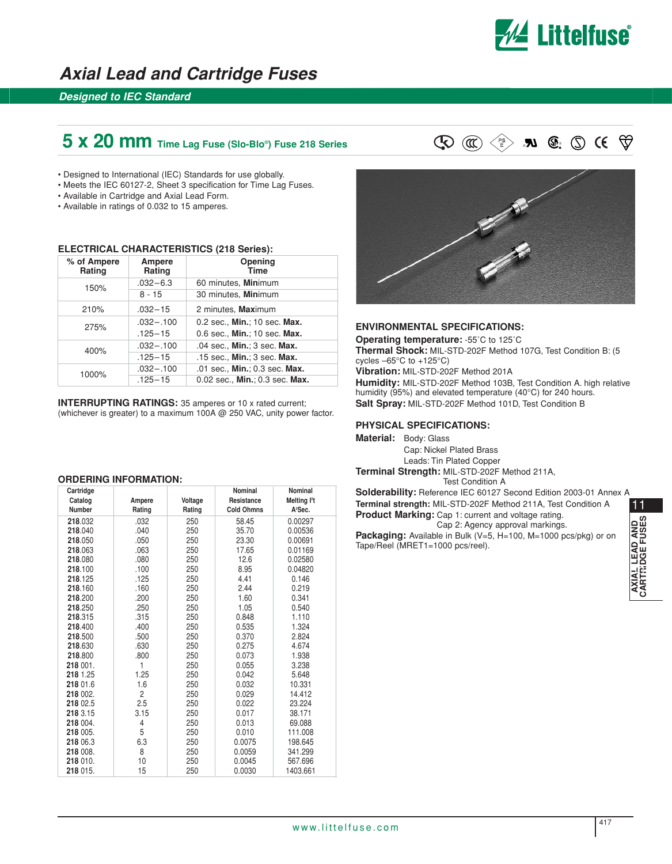

## **Axial Lead and Cartridge Fuses**

### **Designed to IEC Standard**

# **5 x 20 mm** Time Lag Fuse (Slo-Blo®) Fuse 218 Series  $\mathbb{Q} \text{ or } \mathbb{Q} \text{ or } \mathbb{Q}$  **N**  $\mathbb{Q}$ :  $\mathbb{Q} \text{ or } \mathbb{Q}$

• Designed to International (IEC) Standards for use globally.

- Meets the IEC 60127-2, Sheet 3 specification for Time Lag Fuses.
- Available in Cartridge and Axial Lead Form.
- Available in ratings of 0.032 to 15 amperes.

#### **ELECTRICAL CHARACTERISTICS (218 Series):**

| % of Ampere<br>Rating | Ampere<br>Rating | Opening<br><b>Time</b>         |  |
|-----------------------|------------------|--------------------------------|--|
| 150%                  | $.032 - 6.3$     | 60 minutes, Minimum            |  |
|                       | 8 - 15           | 30 minutes, Minimum            |  |
| 210%                  | $.032 - 15$      | 2 minutes, Maximum             |  |
| 275%                  | $.032 - .100$    | 0.2 sec., Min.; 10 sec. Max.   |  |
|                       | $.125 - 15$      | 0.6 sec., Min.; 10 sec. Max.   |  |
| 400%                  | $.032 - .100$    | .04 sec., Min.; 3 sec. Max.    |  |
|                       | $.125 - 15$      | .15 sec., Min.; 3 sec. Max.    |  |
| 1000%                 | $.032 - .100$    | .01 sec., Min.; 0.3 sec. Max.  |  |
|                       | $.125 - 15$      | 0.02 sec., Min.; 0.3 sec. Max. |  |

**INTERRUPTING RATINGS:** 35 amperes or 10 x rated current; (whichever is greater) to a maximum 100A @ 250 VAC, unity power factor.

#### **ORDERING INFORMATION:**

| Cartridge     |        |         | Nominal           | Nominal                 |
|---------------|--------|---------|-------------------|-------------------------|
| Catalog       | Ampere | Voltage | Resistance        | Melting <sup>12</sup> t |
| <b>Number</b> | Rating | Rating  | <b>Cold Ohmns</b> | A <sup>2</sup> Sec.     |
| 218.032       | .032   | 250     | 58.45             | 0.00297                 |
| 218.040       | .040   | 250     | 35.70             | 0.00536                 |
| 218.050       | .050   | 250     | 23.30             | 0.00691                 |
| 218.063       | .063   | 250     | 17.65             | 0.01169                 |
| 218.080       | .080   | 250     | 12.6              | 0.02580                 |
| 218.100       | .100   | 250     | 8.95              | 0.04820                 |
| 218.125       | .125   | 250     | 4.41              | 0.146                   |
| 218.160       | .160   | 250     | 2.44              | 0.219                   |
| 218.200       | .200   | 250     | 1.60              | 0.341                   |
| 218.250       | .250   | 250     | 1.05              | 0.540                   |
| 218.315       | .315   | 250     | 0.848             | 1.110                   |
| 218.400       | .400   | 250     | 0.535             | 1.324                   |
| 218.500       | .500   | 250     | 0.370             | 2.824                   |
| 218.630       | .630   | 250     | 0.275             | 4.674                   |
| 218.800       | .800   | 250     | 0.073             | 1.938                   |
| 218 001.      | 1      | 250     | 0.055             | 3.238                   |
| 218 1.25      | 1.25   | 250     | 0.042             | 5.648                   |
| 218 01.6      | 1.6    | 250     | 0.032             | 10.331                  |
| 218 002.      | 2      | 250     | 0.029             | 14.412                  |
| 218 02.5      | 2.5    | 250     | 0.022             | 23.224                  |
| 218 3.15      | 3.15   | 250     | 0.017             | 38.171                  |
| 218 004.      | 4      | 250     | 0.013             | 69.088                  |
| 218 005.      | 5      | 250     | 0.010             | 111.008                 |
| 218 06.3      | 6.3    | 250     | 0.0075            | 198.645                 |
| 218 008.      | 8      | 250     | 0.0059            | 341.299                 |
| 218 010.      | 10     | 250     | 0.0045            | 567.696                 |
| 218 015.      | 15     | 250     | 0.0030            | 1403.661                |



#### **ENVIRONMENTAL SPECIFICATIONS:**

**Operating temperature:** -55˚C to 125˚C **Thermal Shock:** MIL-STD-202F Method 107G, Test Condition B: (5 cycles –65°C to +125°C) **Vibration:** MIL-STD-202F Method 201A **Humidity:** MIL-STD-202F Method 103B, Test Condition A. high relative humidity (95%) and elevated temperature (40°C) for 240 hours. **Salt Spray:** MIL-STD-202F Method 101D, Test Condition B

#### **PHYSICAL SPECIFICATIONS:**

**Material:** Body: Glass

Cap: Nickel Plated Brass Leads: Tin Plated Copper **Terminal Strength:** MIL-STD-202F Method 211A,

Test Condition A

11**Solderability:** Reference IEC 60127 Second Edition 2003-01 Annex A **Terminal strength:** MIL-STD-202F Method 211A, Test Condition A **Product Marking:** Cap 1: current and voltage rating. Cap 2: Agency approval markings. **Packaging:** Available in Bulk (V=5, H=100, M=1000 pcs/pkg) or on

Tape/Reel (MRET1=1000 pcs/reel).